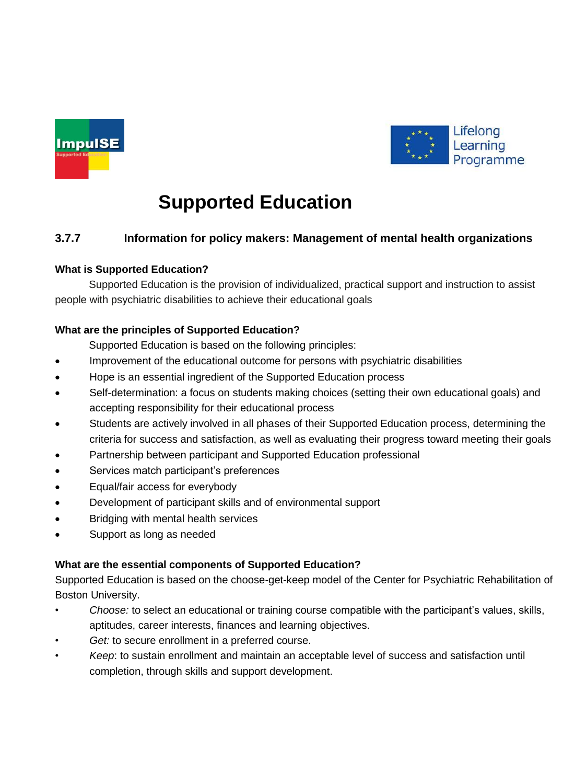



# **Supported Education**

## **3.7.7 Information for policy makers: Management of mental health organizations**

## **What is Supported Education?**

Supported Education is the provision of individualized, practical support and instruction to assist people with psychiatric disabilities to achieve their educational goals

## **What are the principles of Supported Education?**

Supported Education is based on the following principles:

- Improvement of the educational outcome for persons with psychiatric disabilities
- Hope is an essential ingredient of the Supported Education process
- Self-determination: a focus on students making choices (setting their own educational goals) and accepting responsibility for their educational process
- Students are actively involved in all phases of their Supported Education process, determining the criteria for success and satisfaction, as well as evaluating their progress toward meeting their goals
- Partnership between participant and Supported Education professional
- Services match participant's preferences
- Equal/fair access for everybody
- Development of participant skills and of environmental support
- Bridging with mental health services
- Support as long as needed

## **What are the essential components of Supported Education?**

Supported Education is based on the choose-get-keep model of the Center for Psychiatric Rehabilitation of Boston University.

- *Choose:* to select an educational or training course compatible with the participant's values, skills, aptitudes, career interests, finances and learning objectives.
- Get: to secure enrollment in a preferred course.
- *Keep*: to sustain enrollment and maintain an acceptable level of success and satisfaction until completion, through skills and support development.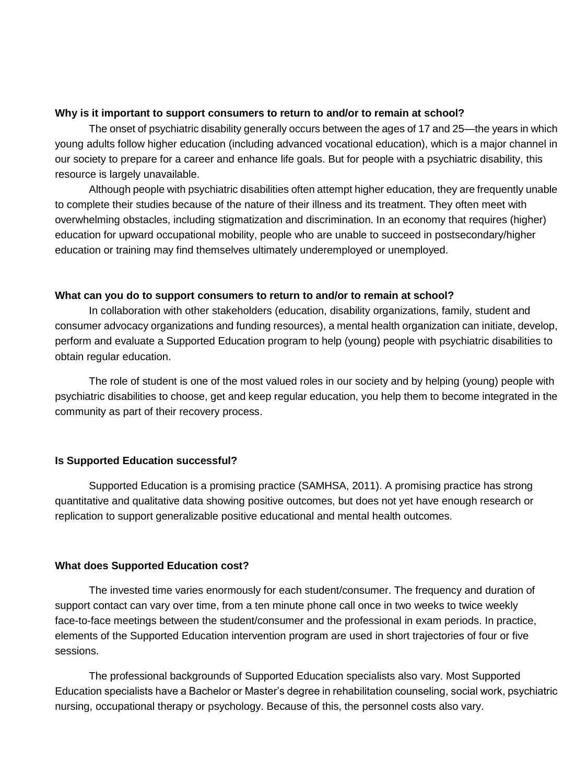#### **Why is it important to support consumers to return to and/or to remain at school?**

The onset of psychiatric disability generally occurs between the ages of 17 and 25—the years in which young adults follow higher education (including advanced vocational education), which is a major channel in our society to prepare for a career and enhance life goals. But for people with a psychiatric disability, this resource is largely unavailable.

Although people with psychiatric disabilities often attempt higher education, they are frequently unable to complete their studies because of the nature of their illness and its treatment. They often meet with overwhelming obstacles, including stigmatization and discrimination. In an economy that requires (higher) education for upward occupational mobility, people who are unable to succeed in postsecondary/higher education or training may find themselves ultimately underemployed or unemployed.

#### **What can you do to support consumers to return to and/or to remain at school?**

In collaboration with other stakeholders (education, disability organizations, family, student and consumer advocacy organizations and funding resources), a mental health organization can initiate, develop, perform and evaluate a Supported Education program to help (young) people with psychiatric disabilities to obtain regular education.

The role of student is one of the most valued roles in our society and by helping (young) people with psychiatric disabilities to choose, get and keep regular education, you help them to become integrated in the community as part of their recovery process.

## **Is Supported Education successful?**

Supported Education is a promising practice (SAMHSA, 2011). A promising practice has strong quantitative and qualitative data showing positive outcomes, but does not yet have enough research or replication to support generalizable positive educational and mental health outcomes.

#### **What does Supported Education cost?**

The invested time varies enormously for each student/consumer. The frequency and duration of support contact can vary over time, from a ten minute phone call once in two weeks to twice weekly face-to-face meetings between the student/consumer and the professional in exam periods. In practice, elements of the Supported Education intervention program are used in short trajectories of four or five sessions.

The professional backgrounds of Supported Education specialists also vary. Most Supported Education specialists have a Bachelor or Master's degree in rehabilitation counseling, social work, psychiatric nursing, occupational therapy or psychology. Because of this, the personnel costs also vary.